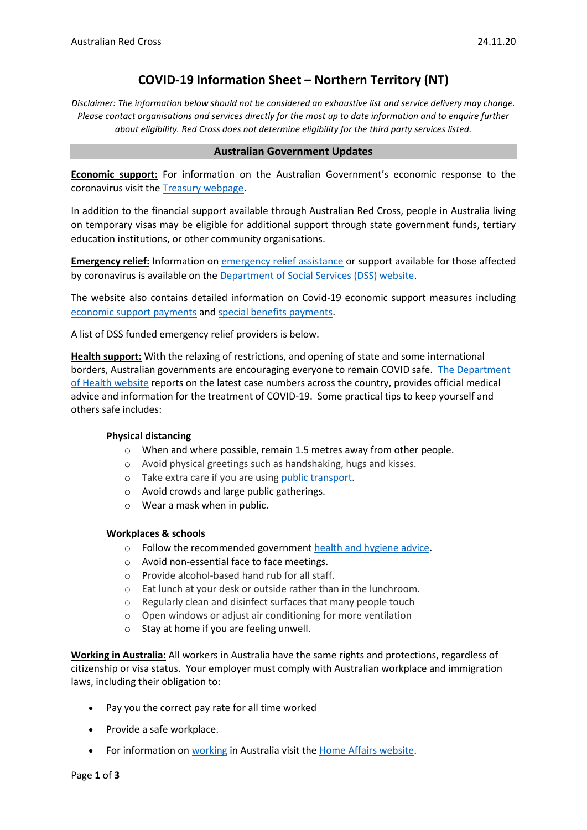# **COVID-19 Information Sheet – Northern Territory (NT)**

*Disclaimer: The information below should not be considered an exhaustive list and service delivery may change. Please contact organisations and services directly for the most up to date information and to enquire further about eligibility. Red Cross does not determine eligibility for the third party services listed.*

# **Australian Government Updates**

**Economic support:** For information on the Australian Government's economic response to the coronavirus visit the [Treasury webpage.](https://treasury.gov.au/coronavirus)

In addition to the financial support available through Australian Red Cross, people in Australia living on temporary visas may be eligible for additional support through state government funds, tertiary education institutions, or other community organisations.

**Emergency relief:** Information o[n emergency relief assistance](https://www.dss.gov.au/about-the-department/coronavirus-covid-19-information-and-support/coronavirus-support-services) or support available for those affected by coronavirus is available on the [Department of Social Services \(DSS\) website.](https://www.dss.gov.au/about-the-department/coronavirus-covid-19-information-and-support)

The website also contains detailed information on Covid-19 economic support measures including [economic support payments](https://www.servicesaustralia.gov.au/individuals/subjects/coronavirus-covid-19-and-how-we-may-help) and [special benefits payments.](https://www.servicesaustralia.gov.au/individuals/services/centrelink/special-benefit)

A list of DSS funded emergency relief providers is below.

**Health support:** With the relaxing of restrictions, and opening of state and some international borders, Australian governments are encouraging everyone to remain COVID safe. [The Department](https://www.health.gov.au/news/health-alerts/novel-coronavirus-2019-ncov-health-alert)  [of Health website](https://www.health.gov.au/news/health-alerts/novel-coronavirus-2019-ncov-health-alert) reports on the latest case numbers across the country, provides official medical advice and information for the treatment of COVID-19. Some practical tips to keep yourself and others safe includes:

#### **Physical distancing**

- o When and where possible, remain 1.5 metres away from other people.
- o Avoid physical greetings such as handshaking, hugs and kisses.
- o Take extra care if you are using [public transport.](https://www.infrastructure.gov.au/transport/files/covid19_public_transport_principles_29052020.pdf)
- o Avoid crowds and large public gatherings.
- o Wear a mask when in public.

#### **Workplaces & schools**

- o Follow the recommended government [health and hygiene advice.](https://www.health.gov.au/news/health-alerts/novel-coronavirus-2019-ncov-health-alert/how-to-protect-yourself-and-others-from-coronavirus-covid-19/good-hygiene-for-coronavirus-covid-19)
- o Avoid non-essential face to face meetings.
- o Provide alcohol-based hand rub for all staff.
- o Eat lunch at your desk or outside rather than in the lunchroom.
- o Regularly clean and disinfect surfaces that many people touch
- o Open windows or adjust air conditioning for more ventilation
- o Stay at home if you are feeling unwell.

**Working in Australia:** All workers in Australia have the same rights and protections, regardless of citizenship or visa status. Your employer must comply with Australian workplace and immigration laws, including their obligation to:

- Pay you the correct pay rate for all time worked
- Provide a safe workplace.
- For information o[n working](https://immi.homeaffairs.gov.au/visas/getting-a-visa/visa-listing/student-500/temporary-relaxation-of-working-hours-for-student-visa-holders) in Australia visit the [Home Affairs website.](https://immi.homeaffairs.gov.au/visas/working-in-australia)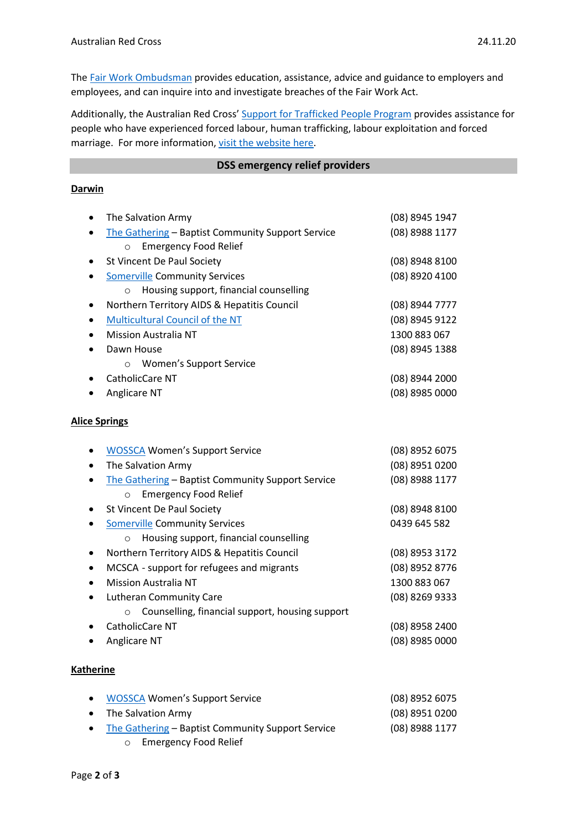The Fair Work [Ombudsman](https://www.fairwork.gov.au/) provides education, assistance, advice and guidance to employers and employees, and can inquire into and investigate breaches of the Fair Work Act.

Additionally, the Australian Red Cross' [Support for Trafficked People Program](https://www.redcross.org.au/get-help/help-for-migrants-in-transition/trafficked-people) provides assistance for people who have experienced forced labour, human trafficking, labour exploitation and forced marriage. For more information, [visit the website here.](https://www.redcross.org.au/get-help/help-for-migrants-in-transition/trafficked-people)

# **DSS emergency relief providers**

# **Darwin**

| $\bullet$            | The Salvation Army                                | (08) 8945 1947 |
|----------------------|---------------------------------------------------|----------------|
| $\bullet$            | The Gathering - Baptist Community Support Service | (08) 8988 1177 |
|                      | <b>Emergency Food Relief</b><br>$\circ$           |                |
| ٠                    | St Vincent De Paul Society                        | (08) 8948 8100 |
| ٠                    | <b>Somerville Community Services</b>              | (08) 8920 4100 |
|                      | Housing support, financial counselling<br>$\circ$ |                |
| ٠                    | Northern Territory AIDS & Hepatitis Council       | (08) 8944 7777 |
| $\bullet$            | Multicultural Council of the NT                   | (08) 8945 9122 |
|                      | <b>Mission Australia NT</b>                       | 1300 883 067   |
|                      | Dawn House                                        | (08) 8945 1388 |
|                      | <b>Women's Support Service</b><br>$\circ$         |                |
|                      | CatholicCare NT                                   | (08) 8944 2000 |
|                      | Anglicare NT                                      | (08) 8985 0000 |
|                      |                                                   |                |
| <b>Alice Springs</b> |                                                   |                |
|                      |                                                   |                |
| ٠                    | <b>WOSSCA Women's Support Service</b>             | (08) 8952 6075 |
| $\bullet$            | The Salvation Army                                | (08) 8951 0200 |
| $\bullet$            | The Gathering - Baptist Community Support Service | (08) 8988 1177 |
|                      | <b>Emergency Food Relief</b><br>$\circ$           |                |
| ٠                    | St Vincent De Paul Society                        | (08) 8948 8100 |
| ٠                    | <b>Somerville Community Services</b>              | 0439 645 582   |
|                      | Housing support, financial counselling<br>$\circ$ |                |
| ٠                    | Northern Territory AIDS & Hepatitis Council       | (08) 8953 3172 |
| $\bullet$            | MCSCA - support for refugees and migrants         | (08) 8952 8776 |
| $\bullet$            | <b>Mission Australia NT</b>                       | 1300 883 067   |
| $\bullet$            | <b>Lutheran Community Care</b>                    | (08) 8269 9333 |
|                      | ○ Counselling, financial support, housing support |                |
|                      | CatholicCare NT                                   | (08) 8958 2400 |
|                      | Anglicare NT                                      | (08) 8985 0000 |
|                      |                                                   |                |

# **Katherine**

| • WOSSCA Women's Support Service                    | (08) 8952 6075 |
|-----------------------------------------------------|----------------|
| • The Salvation Army                                | (08) 8951 0200 |
| • The Gathering – Baptist Community Support Service | (08) 8988 1177 |
| o Emergency Food Relief                             |                |